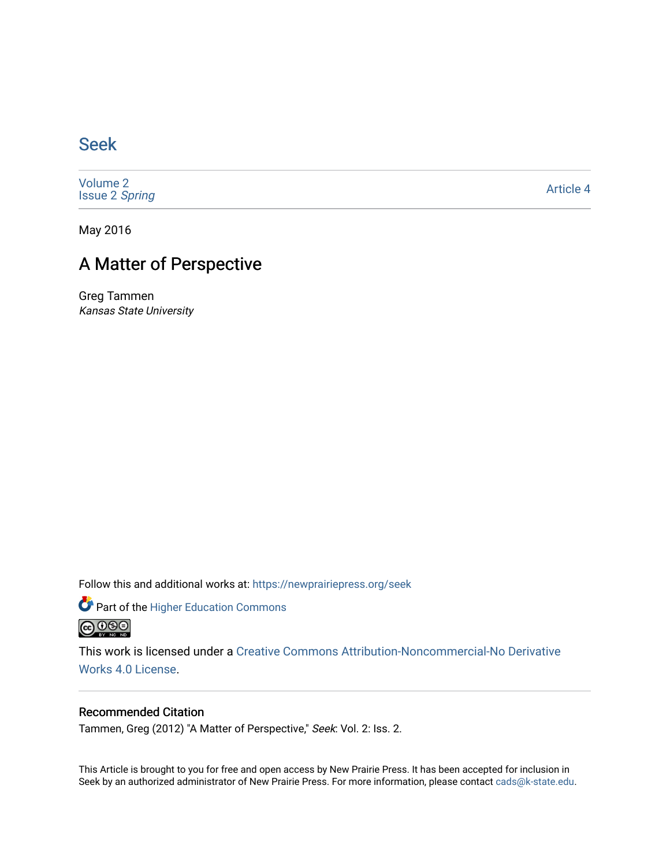### [Seek](https://newprairiepress.org/seek)

[Volume 2](https://newprairiepress.org/seek/vol2) [Issue 2](https://newprairiepress.org/seek/vol2/iss2) Spring

[Article 4](https://newprairiepress.org/seek/vol2/iss2/4) 

May 2016

## A Matter of Perspective

Greg Tammen Kansas State University

Follow this and additional works at: [https://newprairiepress.org/seek](https://newprairiepress.org/seek?utm_source=newprairiepress.org%2Fseek%2Fvol2%2Fiss2%2F4&utm_medium=PDF&utm_campaign=PDFCoverPages)

Part of the [Higher Education Commons](http://network.bepress.com/hgg/discipline/1245?utm_source=newprairiepress.org%2Fseek%2Fvol2%2Fiss2%2F4&utm_medium=PDF&utm_campaign=PDFCoverPages) 



This work is licensed under a [Creative Commons Attribution-Noncommercial-No Derivative](https://creativecommons.org/licenses/by-nc-nd/4.0/)  [Works 4.0 License](https://creativecommons.org/licenses/by-nc-nd/4.0/).

### Recommended Citation

Tammen, Greg (2012) "A Matter of Perspective," Seek: Vol. 2: Iss. 2.

This Article is brought to you for free and open access by New Prairie Press. It has been accepted for inclusion in Seek by an authorized administrator of New Prairie Press. For more information, please contact [cads@k-state.edu](mailto:cads@k-state.edu).